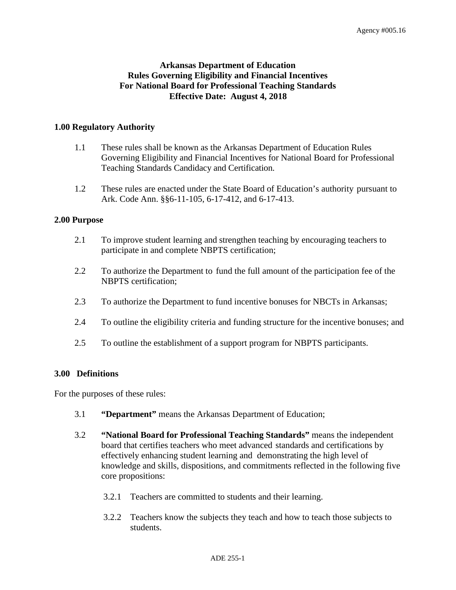# **Arkansas Department of Education Rules Governing Eligibility and Financial Incentives For National Board for Professional Teaching Standards Effective Date: August 4, 2018**

## **1.00 Regulatory Authority**

- 1.1 These rules shall be known as the Arkansas Department of Education Rules Governing Eligibility and Financial Incentives for National Board for Professional Teaching Standards Candidacy and Certification.
- 1.2 These rules are enacted under the State Board of Education's authority pursuant to Ark. Code Ann. §§6-11-105, 6-17-412, and 6-17-413.

#### **2.00 Purpose**

- 2.1 To improve student learning and strengthen teaching by encouraging teachers to participate in and complete NBPTS certification;
- 2.2 To authorize the Department to fund the full amount of the participation fee of the NBPTS certification;
- 2.3 To authorize the Department to fund incentive bonuses for NBCTs in Arkansas;
- 2.4 To outline the eligibility criteria and funding structure for the incentive bonuses; and
- 2.5 To outline the establishment of a support program for NBPTS participants.

#### **3.00 Definitions**

For the purposes of these rules:

- 3.1 **"Department"** means the Arkansas Department of Education;
- 3.2 **"National Board for Professional Teaching Standards"** means the independent board that certifies teachers who meet advanced standards and certifications by effectively enhancing student learning and demonstrating the high level of knowledge and skills, dispositions, and commitments reflected in the following five core propositions:
	- 3.2.1 Teachers are committed to students and their learning.
	- 3.2.2 Teachers know the subjects they teach and how to teach those subjects to students.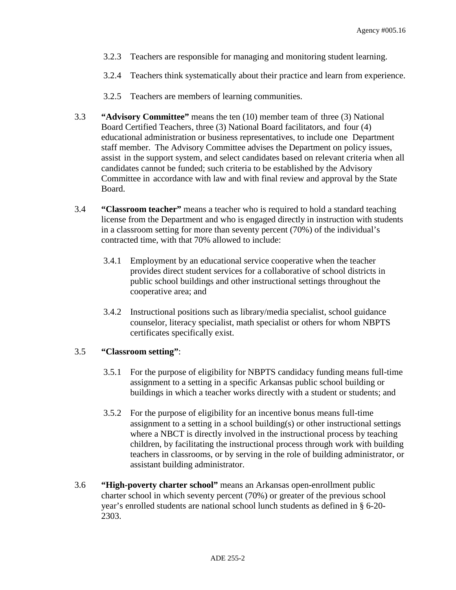- 3.2.3 Teachers are responsible for managing and monitoring student learning.
- 3.2.4 Teachers think systematically about their practice and learn from experience.
- 3.2.5 Teachers are members of learning communities.
- 3.3 **"Advisory Committee"** means the ten (10) member team of three (3) National Board Certified Teachers, three (3) National Board facilitators, and four (4) educational administration or business representatives, to include one Department staff member. The Advisory Committee advises the Department on policy issues, assist in the support system, and select candidates based on relevant criteria when all candidates cannot be funded; such criteria to be established by the Advisory Committee in accordance with law and with final review and approval by the State Board.
- 3.4 **"Classroom teacher"** means a teacher who is required to hold a standard teaching license from the Department and who is engaged directly in instruction with students in a classroom setting for more than seventy percent (70%) of the individual's contracted time, with that 70% allowed to include:
	- 3.4.1 Employment by an educational service cooperative when the teacher provides direct student services for a collaborative of school districts in public school buildings and other instructional settings throughout the cooperative area; and
	- 3.4.2 Instructional positions such as library/media specialist, school guidance counselor, literacy specialist, math specialist or others for whom NBPTS certificates specifically exist.

#### 3.5 **"Classroom setting"**:

- 3.5.1 For the purpose of eligibility for NBPTS candidacy funding means full-time assignment to a setting in a specific Arkansas public school building or buildings in which a teacher works directly with a student or students; and
- 3.5.2 For the purpose of eligibility for an incentive bonus means full-time assignment to a setting in a school building(s) or other instructional settings where a NBCT is directly involved in the instructional process by teaching children, by facilitating the instructional process through work with building teachers in classrooms, or by serving in the role of building administrator, or assistant building administrator.
- 3.6 **"High-poverty charter school"** means an Arkansas open-enrollment public charter school in which seventy percent (70%) or greater of the previous school year's enrolled students are national school lunch students as defined in § 6-20- 2303.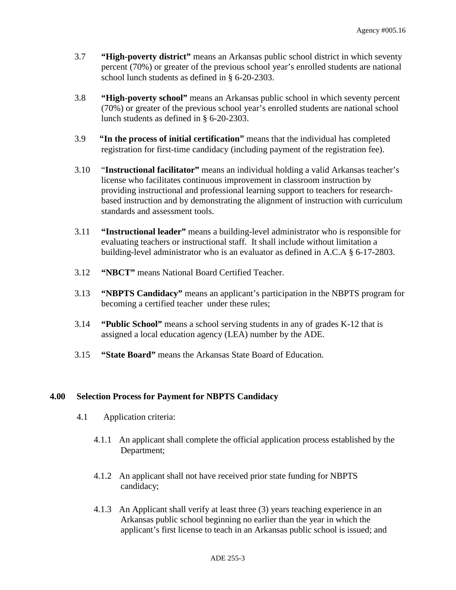- 3.7 **"High-poverty district"** means an Arkansas public school district in which seventy percent (70%) or greater of the previous school year's enrolled students are national school lunch students as defined in § 6-20-2303.
- 3.8 **"High-poverty school"** means an Arkansas public school in which seventy percent (70%) or greater of the previous school year's enrolled students are national school lunch students as defined in § 6-20-2303.
- 3.9 **"In the process of initial certification"** means that the individual has completed registration for first-time candidacy (including payment of the registration fee).
- 3.10 "**Instructional facilitator"** means an individual holding a valid Arkansas teacher's license who facilitates continuous improvement in classroom instruction by providing instructional and professional learning support to teachers for researchbased instruction and by demonstrating the alignment of instruction with curriculum standards and assessment tools.
- 3.11 **"Instructional leader"** means a building-level administrator who is responsible for evaluating teachers or instructional staff. It shall include without limitation a building-level administrator who is an evaluator as defined in A.C.A § 6-17-2803.
- 3.12 **"NBCT"** means National Board Certified Teacher.
- 3.13 **"NBPTS Candidacy"** means an applicant's participation in the NBPTS program for becoming a certified teacher under these rules;
- 3.14 **"Public School"** means a school serving students in any of grades K-12 that is assigned a local education agency (LEA) number by the ADE.
- 3.15 **"State Board"** means the Arkansas State Board of Education.

## **4.00 Selection Process for Payment for NBPTS Candidacy**

- 4.1 Application criteria:
	- 4.1.1 An applicant shall complete the official application process established by the Department;
	- 4.1.2 An applicant shall not have received prior state funding for NBPTS candidacy;
	- 4.1.3 An Applicant shall verify at least three (3) years teaching experience in an Arkansas public school beginning no earlier than the year in which the applicant's first license to teach in an Arkansas public school is issued; and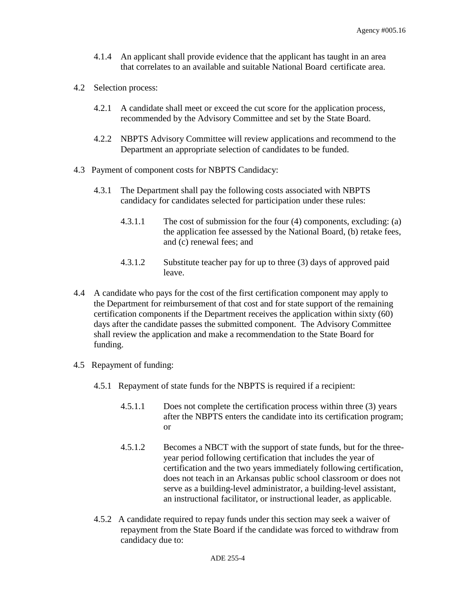- 4.1.4 An applicant shall provide evidence that the applicant has taught in an area that correlates to an available and suitable National Board certificate area.
- 4.2 Selection process:
	- 4.2.1 A candidate shall meet or exceed the cut score for the application process, recommended by the Advisory Committee and set by the State Board.
	- 4.2.2 NBPTS Advisory Committee will review applications and recommend to the Department an appropriate selection of candidates to be funded.
- 4.3 Payment of component costs for NBPTS Candidacy:
	- 4.3.1 The Department shall pay the following costs associated with NBPTS candidacy for candidates selected for participation under these rules:
		- 4.3.1.1 The cost of submission for the four (4) components, excluding: (a) the application fee assessed by the National Board, (b) retake fees, and (c) renewal fees; and
		- 4.3.1.2 Substitute teacher pay for up to three (3) days of approved paid leave.
- 4.4 A candidate who pays for the cost of the first certification component may apply to the Department for reimbursement of that cost and for state support of the remaining certification components if the Department receives the application within sixty (60) days after the candidate passes the submitted component. The Advisory Committee shall review the application and make a recommendation to the State Board for funding.
- 4.5 Repayment of funding:
	- 4.5.1 Repayment of state funds for the NBPTS is required if a recipient:
		- 4.5.1.1 Does not complete the certification process within three (3) years after the NBPTS enters the candidate into its certification program; or
		- 4.5.1.2 Becomes a NBCT with the support of state funds, but for the threeyear period following certification that includes the year of certification and the two years immediately following certification, does not teach in an Arkansas public school classroom or does not serve as a building-level administrator, a building-level assistant, an instructional facilitator, or instructional leader, as applicable.
	- 4.5.2 A candidate required to repay funds under this section may seek a waiver of repayment from the State Board if the candidate was forced to withdraw from candidacy due to: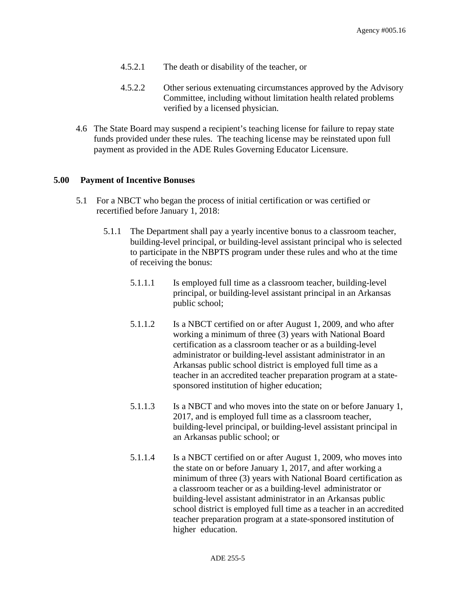- 4.5.2.1 The death or disability of the teacher, or
- 4.5.2.2 Other serious extenuating circumstances approved by the Advisory Committee, including without limitation health related problems verified by a licensed physician.
- 4.6 The State Board may suspend a recipient's teaching license for failure to repay state funds provided under these rules. The teaching license may be reinstated upon full payment as provided in the ADE Rules Governing Educator Licensure.

## **5.00 Payment of Incentive Bonuses**

- 5.1 For a NBCT who began the process of initial certification or was certified or recertified before January 1, 2018:
	- 5.1.1 The Department shall pay a yearly incentive bonus to a classroom teacher, building-level principal, or building-level assistant principal who is selected to participate in the NBPTS program under these rules and who at the time of receiving the bonus:
		- 5.1.1.1 Is employed full time as a classroom teacher, building-level principal, or building-level assistant principal in an Arkansas public school;
		- 5.1.1.2 Is a NBCT certified on or after August 1, 2009, and who after working a minimum of three (3) years with National Board certification as a classroom teacher or as a building-level administrator or building-level assistant administrator in an Arkansas public school district is employed full time as a teacher in an accredited teacher preparation program at a statesponsored institution of higher education;
		- 5.1.1.3 Is a NBCT and who moves into the state on or before January 1, 2017, and is employed full time as a classroom teacher, building-level principal, or building-level assistant principal in an Arkansas public school; or
		- 5.1.1.4 Is a NBCT certified on or after August 1, 2009, who moves into the state on or before January 1, 2017, and after working a minimum of three (3) years with National Board certification as a classroom teacher or as a building-level administrator or building-level assistant administrator in an Arkansas public school district is employed full time as a teacher in an accredited teacher preparation program at a state-sponsored institution of higher education.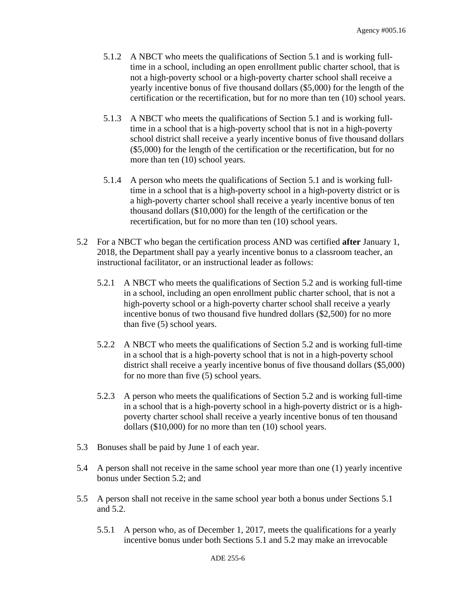- 5.1.2 A NBCT who meets the qualifications of Section 5.1 and is working fulltime in a school, including an open enrollment public charter school, that is not a high-poverty school or a high-poverty charter school shall receive a yearly incentive bonus of five thousand dollars (\$5,000) for the length of the certification or the recertification, but for no more than ten (10) school years.
- 5.1.3 A NBCT who meets the qualifications of Section 5.1 and is working fulltime in a school that is a high-poverty school that is not in a high-poverty school district shall receive a yearly incentive bonus of five thousand dollars (\$5,000) for the length of the certification or the recertification, but for no more than ten  $(10)$  school years.
- 5.1.4 A person who meets the qualifications of Section 5.1 and is working fulltime in a school that is a high-poverty school in a high-poverty district or is a high-poverty charter school shall receive a yearly incentive bonus of ten thousand dollars (\$10,000) for the length of the certification or the recertification, but for no more than ten (10) school years.
- 5.2 For a NBCT who began the certification process AND was certified **after** January 1, 2018, the Department shall pay a yearly incentive bonus to a classroom teacher, an instructional facilitator, or an instructional leader as follows:
	- 5.2.1 A NBCT who meets the qualifications of Section 5.2 and is working full-time in a school, including an open enrollment public charter school, that is not a high-poverty school or a high-poverty charter school shall receive a yearly incentive bonus of two thousand five hundred dollars (\$2,500) for no more than five (5) school years.
	- 5.2.2 A NBCT who meets the qualifications of Section 5.2 and is working full-time in a school that is a high-poverty school that is not in a high-poverty school district shall receive a yearly incentive bonus of five thousand dollars (\$5,000) for no more than five (5) school years.
	- 5.2.3 A person who meets the qualifications of Section 5.2 and is working full-time in a school that is a high-poverty school in a high-poverty district or is a highpoverty charter school shall receive a yearly incentive bonus of ten thousand dollars (\$10,000) for no more than ten (10) school years.
- 5.3 Bonuses shall be paid by June 1 of each year.
- 5.4 A person shall not receive in the same school year more than one (1) yearly incentive bonus under Section 5.2; and
- 5.5 A person shall not receive in the same school year both a bonus under Sections 5.1 and 5.2.
	- 5.5.1 A person who, as of December 1, 2017, meets the qualifications for a yearly incentive bonus under both Sections 5.1 and 5.2 may make an irrevocable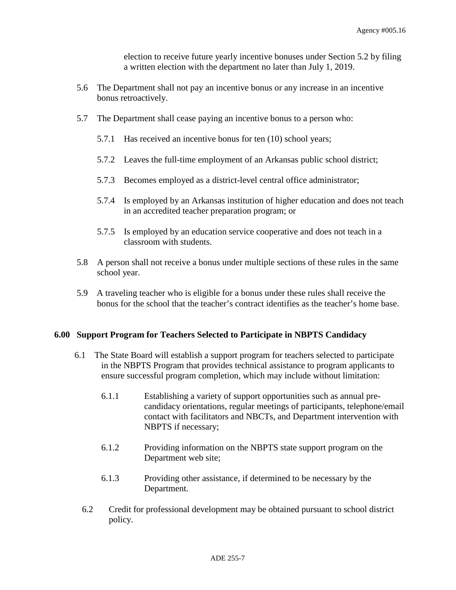election to receive future yearly incentive bonuses under Section 5.2 by filing a written election with the department no later than July 1, 2019.

- 5.6 The Department shall not pay an incentive bonus or any increase in an incentive bonus retroactively.
- 5.7 The Department shall cease paying an incentive bonus to a person who:
	- 5.7.1 Has received an incentive bonus for ten (10) school years;
	- 5.7.2 Leaves the full-time employment of an Arkansas public school district;
	- 5.7.3 Becomes employed as a district-level central office administrator;
	- 5.7.4 Is employed by an Arkansas institution of higher education and does not teach in an accredited teacher preparation program; or
	- 5.7.5 Is employed by an education service cooperative and does not teach in a classroom with students.
- 5.8 A person shall not receive a bonus under multiple sections of these rules in the same school year.
- 5.9 A traveling teacher who is eligible for a bonus under these rules shall receive the bonus for the school that the teacher's contract identifies as the teacher's home base.

#### **6.00 Support Program for Teachers Selected to Participate in NBPTS Candidacy**

- 6.1 The State Board will establish a support program for teachers selected to participate in the NBPTS Program that provides technical assistance to program applicants to ensure successful program completion, which may include without limitation:
	- 6.1.1 Establishing a variety of support opportunities such as annual precandidacy orientations, regular meetings of participants, telephone/email contact with facilitators and NBCTs, and Department intervention with NBPTS if necessary;
	- 6.1.2 Providing information on the NBPTS state support program on the Department web site;
	- 6.1.3 Providing other assistance, if determined to be necessary by the Department.
	- 6.2 Credit for professional development may be obtained pursuant to school district policy.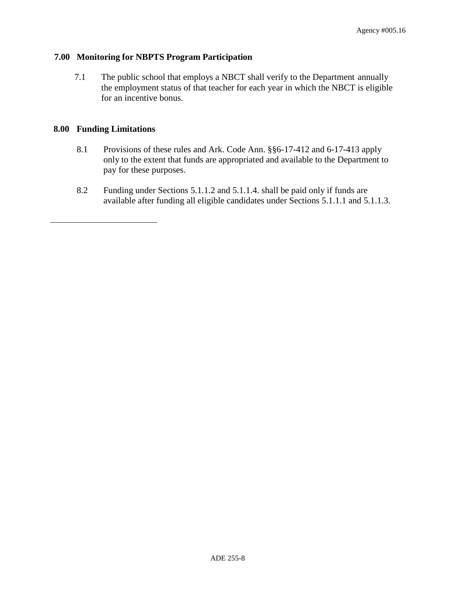## **7.00 Monitoring for NBPTS Program Participation**

7.1 The public school that employs a NBCT shall verify to the Department annually the employment status of that teacher for each year in which the NBCT is eligible for an incentive bonus.

## **8.00 Funding Limitations**

- 8.1 Provisions of these rules and Ark. Code Ann. §§6-17-412 and 6-17-413 apply only to the extent that funds are appropriated and available to the Department to pay for these purposes.
- 8.2 Funding under Sections 5.1.1.2 and 5.1.1.4. shall be paid only if funds are available after funding all eligible candidates under Sections 5.1.1.1 and 5.1.1.3.